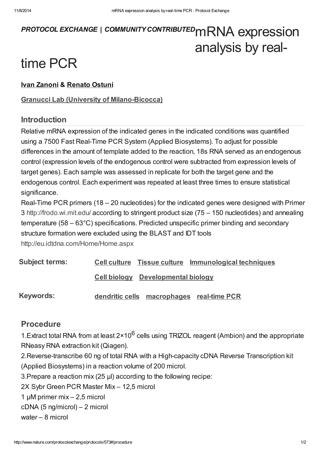# PROTOCOL EXCHANGE | COMMUNITY CONTRIBUTED MRNA expression analysis by real-

# time PCR

#### Ivan [Zanoni](javascript:;) & [Renato](javascript:;) Ostuni

#### Granucci Lab (University of [Milano-Bicocca\)](http://www.nature.com/protocolexchange/labgroups/360)

#### Introduction

Relative mRNA expression of the indicated genes in the indicated conditions was quantified using a 7500 Fast Real-Time PCR System (Applied Biosystems). To adjust for possible differences in the amount of template added to the reaction, 18s RNA served as an endogenous control (expression levels of the endogenous control were subtracted from expression levels of target genes). Each sample was assessed in replicate for both the target gene and the endogenous control. Each experiment was repeated at least three times to ensure statistical significance.

Real-Time PCR primers (18 – 20 nucleotides) for the indicated genes were designed with Primer 3 <http://frodo.wi.mit.edu/> according to stringent product size (75 – 150 nucleotides) and annealing temperature (58 – 63°C) specifications. Predicted unspecific primer binding and secondary structure formation were excluded using the BLAST and IDT tools <http://eu.idtdna.com/Home/Home.aspx>

| <b>Subject terms:</b> |                                           | Cell culture Tissue culture Immunological techniques |  |
|-----------------------|-------------------------------------------|------------------------------------------------------|--|
|                       | <b>Cell biology</b> Developmental biology |                                                      |  |
| <b>Keywords:</b>      |                                           | dendritic cells macrophages real-time PCR            |  |

## [Procedure](javascript:;)

1. Extract total RNA from at least  $2 \times 10^6$  cells using TRIZOL reagent (Ambion) and the appropriate RNeasy RNA extraction kit (Qiagen).

2.Reverse-transcribe 60 ng of total RNA with a High-capacity cDNA Reverse Transcription kit (Applied Biosystems) in a reaction volume of 200 microl.

3.Prepare a reaction mix (25 μl) according to the following recipe:

2X Sybr Green PCR Master Mix – 12,5 microl

1 μM primer mix – 2,5 microl

cDNA (5 ng/microl) – 2 microl

water – 8 microl